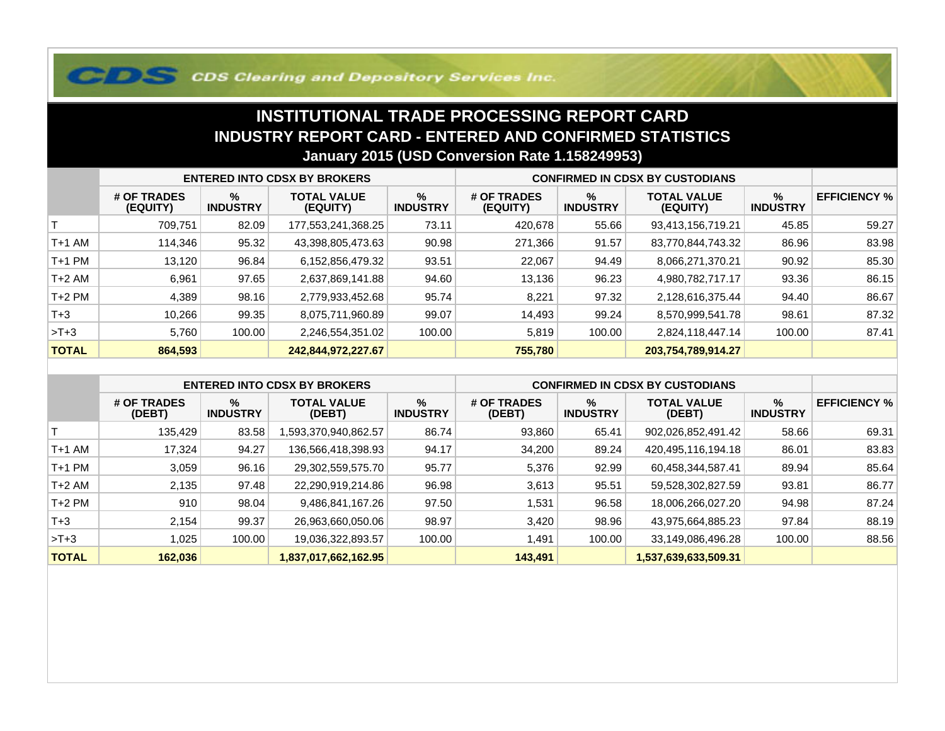## **COS Clearing and Depository Services Inc.**

## **INSTITUTIONAL TRADE PROCESSING REPORT CARD INDUSTRY REPORT CARD - ENTERED AND CONFIRMED STATISTICSJanuary 2015 (USD Conversion Rate 1.158249953)**

|              | <b>ENTERED INTO CDSX BY BROKERS</b> |                         |                                |                      | <b>CONFIRMED IN CDSX BY CUSTODIANS</b> |                         |                                |                      |                     |
|--------------|-------------------------------------|-------------------------|--------------------------------|----------------------|----------------------------------------|-------------------------|--------------------------------|----------------------|---------------------|
|              | # OF TRADES<br>(EQUITY)             | $\%$<br><b>INDUSTRY</b> | <b>TOTAL VALUE</b><br>(EQUITY) | %<br><b>INDUSTRY</b> | # OF TRADES<br>(EQUITY)                | $\%$<br><b>INDUSTRY</b> | <b>TOTAL VALUE</b><br>(EQUITY) | %<br><b>INDUSTRY</b> | <b>EFFICIENCY %</b> |
|              | 709,751                             | 82.09                   | 177,553,241,368.25             | 73.11                | 420,678                                | 55.66                   | 93,413,156,719.21              | 45.85                | 59.27               |
| T+1 AM       | 114.346                             | 95.32                   | 43,398,805,473.63              | 90.98                | 271,366                                | 91.57                   | 83,770,844,743.32              | 86.96                | 83.98               |
| T+1 PM       | 13,120                              | 96.84                   | 6,152,856,479.32               | 93.51                | 22,067                                 | 94.49                   | 8,066,271,370.21               | 90.92                | 85.30               |
| $T+2$ AM     | 6,961                               | 97.65                   | 2,637,869,141.88               | 94.60                | 13,136                                 | 96.23                   | 4,980,782,717.17               | 93.36                | 86.15               |
| $T+2$ PM     | 4,389                               | 98.16                   | 2,779,933,452.68               | 95.74                | 8,221                                  | 97.32                   | 2,128,616,375.44               | 94.40                | 86.67               |
| $T + 3$      | 10,266                              | 99.35                   | 8,075,711,960.89               | 99.07                | 14,493                                 | 99.24                   | 8,570,999,541.78               | 98.61                | 87.32               |
| $>T+3$       | 5,760                               | 100.00                  | 2,246,554,351.02               | 100.00               | 5,819                                  | 100.00                  | 2,824,118,447.14               | 100.00               | 87.41               |
| <b>TOTAL</b> | 864,593                             |                         | 242,844,972,227.67             |                      | 755,780                                |                         | 203,754,789,914.27             |                      |                     |

|              | <b>ENTERED INTO CDSX BY BROKERS</b> |                         |                              |                         | <b>CONFIRMED IN CDSX BY CUSTODIANS</b> |                         |                              |                         |                     |
|--------------|-------------------------------------|-------------------------|------------------------------|-------------------------|----------------------------------------|-------------------------|------------------------------|-------------------------|---------------------|
|              | # OF TRADES<br>(DEBT)               | $\%$<br><b>INDUSTRY</b> | <b>TOTAL VALUE</b><br>(DEBT) | $\%$<br><b>INDUSTRY</b> | # OF TRADES<br>(DEBT)                  | $\%$<br><b>INDUSTRY</b> | <b>TOTAL VALUE</b><br>(DEBT) | $\%$<br><b>INDUSTRY</b> | <b>EFFICIENCY %</b> |
|              | 135,429                             | 83.58                   | 1,593,370,940,862.57         | 86.74                   | 93,860                                 | 65.41                   | 902,026,852,491.42           | 58.66                   | 69.31               |
| $T+1$ AM     | 17.324                              | 94.27                   | 136,566,418,398.93           | 94.17                   | 34,200                                 | 89.24                   | 420,495,116,194.18           | 86.01                   | 83.83               |
| $T+1$ PM     | 3,059                               | 96.16                   | 29,302,559,575.70            | 95.77                   | 5,376                                  | 92.99                   | 60,458,344,587.41            | 89.94                   | 85.64               |
| $T+2$ AM     | 2,135                               | 97.48                   | 22,290,919,214.86            | 96.98                   | 3,613                                  | 95.51                   | 59,528,302,827.59            | 93.81                   | 86.77               |
| $T+2$ PM     | 910                                 | 98.04                   | 9,486,841,167.26             | 97.50                   | 1,531                                  | 96.58                   | 18,006,266,027.20            | 94.98                   | 87.24               |
| $T + 3$      | 2,154                               | 99.37                   | 26,963,660,050.06            | 98.97                   | 3,420                                  | 98.96                   | 43,975,664,885.23            | 97.84                   | 88.19               |
| $>T+3$       | 1.025                               | 100.00                  | 19,036,322,893.57            | 100.00                  | ,491                                   | 100.00                  | 33,149,086,496.28            | 100.00                  | 88.56               |
| <b>TOTAL</b> | 162,036                             |                         | 1,837,017,662,162.95         |                         | 143,491                                |                         | 1,537,639,633,509.31         |                         |                     |